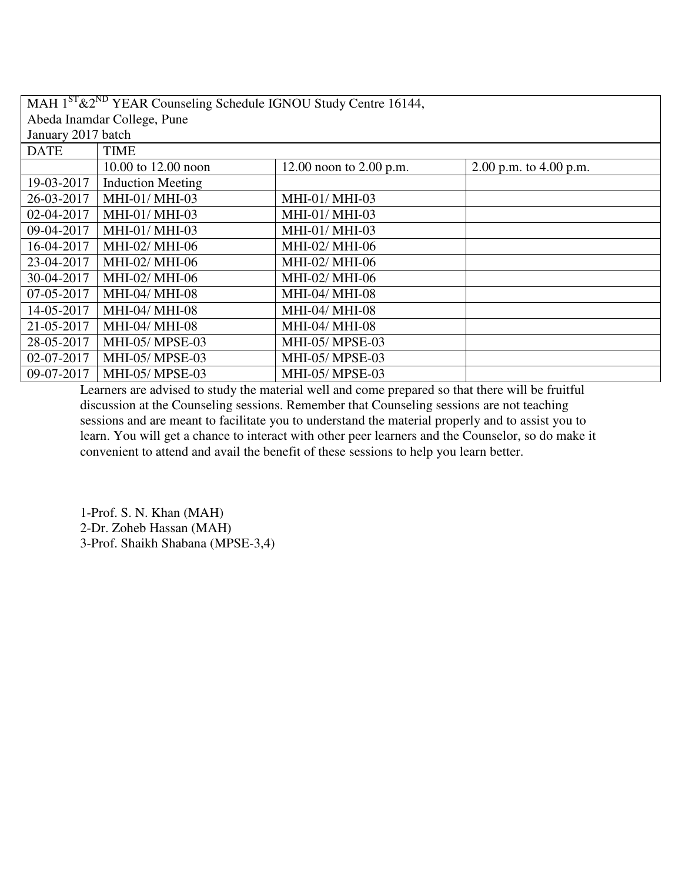| MAH 1 <sup>ST</sup> & 2 <sup>ND</sup> YEAR Counseling Schedule IGNOU Study Centre 16144, |                             |                           |                          |
|------------------------------------------------------------------------------------------|-----------------------------|---------------------------|--------------------------|
|                                                                                          | Abeda Inamdar College, Pune |                           |                          |
| January 2017 batch                                                                       |                             |                           |                          |
| <b>DATE</b>                                                                              | <b>TIME</b>                 |                           |                          |
|                                                                                          | 10.00 to 12.00 noon         | 12.00 noon to $2.00$ p.m. | 2.00 p.m. to $4.00$ p.m. |
| 19-03-2017                                                                               | <b>Induction Meeting</b>    |                           |                          |
| 26-03-2017                                                                               | MHI-01/ MHI-03              | MHI-01/ MHI-03            |                          |
| 02-04-2017                                                                               | MHI-01/ MHI-03              | MHI-01/ MHI-03            |                          |
| 09-04-2017                                                                               | MHI-01/ MHI-03              | MHI-01/ MHI-03            |                          |
| 16-04-2017                                                                               | MHI-02/ MHI-06              | MHI-02/ MHI-06            |                          |
| 23-04-2017                                                                               | MHI-02/ MHI-06              | MHI-02/ MHI-06            |                          |
| 30-04-2017                                                                               | MHI-02/ MHI-06              | MHI-02/ MHI-06            |                          |
| 07-05-2017                                                                               | MHI-04/ MHI-08              | MHI-04/ MHI-08            |                          |
| 14-05-2017                                                                               | MHI-04/ MHI-08              | <b>MHI-04/ MHI-08</b>     |                          |
| 21-05-2017                                                                               | MHI-04/ MHI-08              | MHI-04/ MHI-08            |                          |
| 28-05-2017                                                                               | MHI-05/ MPSE-03             | MHI-05/ MPSE-03           |                          |
| 02-07-2017                                                                               | MHI-05/ MPSE-03             | MHI-05/ MPSE-03           |                          |
| 09-07-2017                                                                               | <b>MHI-05/ MPSE-03</b>      | <b>MHI-05/ MPSE-03</b>    |                          |

1-Prof. S. N. Khan (MAH) 2-Dr. Zoheb Hassan (MAH) 3-Prof. Shaikh Shabana (MPSE-3,4)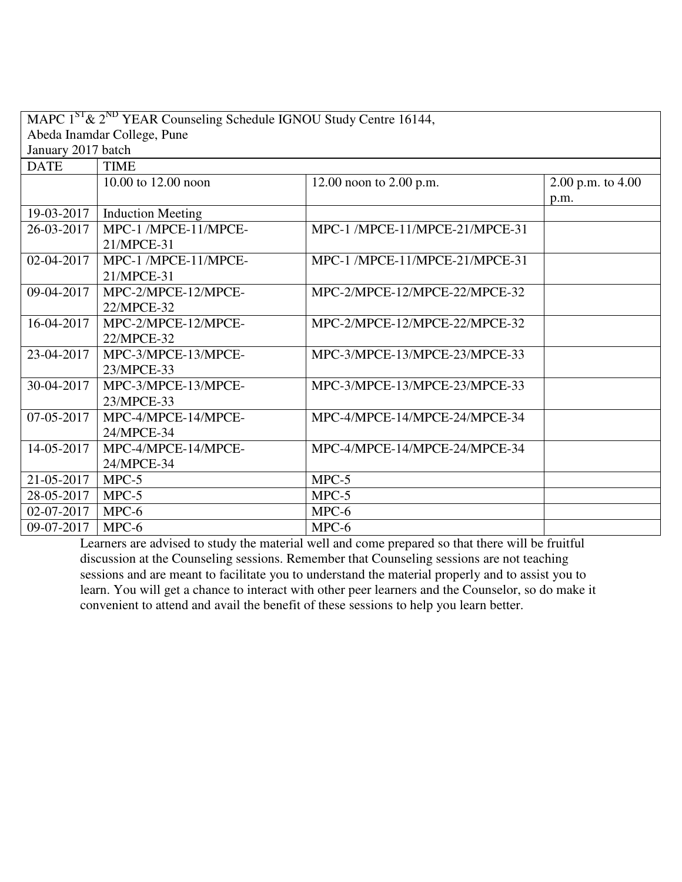|                             | MAPC $1^{ST}$ & $2^{ND}$ YEAR Counseling Schedule IGNOU Study Centre 16144, |                                |                       |  |
|-----------------------------|-----------------------------------------------------------------------------|--------------------------------|-----------------------|--|
| Abeda Inamdar College, Pune |                                                                             |                                |                       |  |
| January 2017 batch          |                                                                             |                                |                       |  |
| <b>DATE</b>                 | <b>TIME</b>                                                                 |                                |                       |  |
|                             | 10.00 to 12.00 noon                                                         | 12.00 noon to 2.00 p.m.        | $2.00$ p.m. to $4.00$ |  |
|                             |                                                                             |                                | p.m.                  |  |
| 19-03-2017                  | <b>Induction Meeting</b>                                                    |                                |                       |  |
| 26-03-2017                  | MPC-1 /MPCE-11/MPCE-                                                        | MPC-1 /MPCE-11/MPCE-21/MPCE-31 |                       |  |
|                             | 21/MPCE-31                                                                  |                                |                       |  |
| 02-04-2017                  | MPC-1 /MPCE-11/MPCE-                                                        | MPC-1 /MPCE-11/MPCE-21/MPCE-31 |                       |  |
|                             | 21/MPCE-31                                                                  |                                |                       |  |
| 09-04-2017                  | MPC-2/MPCE-12/MPCE-                                                         | MPC-2/MPCE-12/MPCE-22/MPCE-32  |                       |  |
|                             | 22/MPCE-32                                                                  |                                |                       |  |
| 16-04-2017                  | MPC-2/MPCE-12/MPCE-                                                         | MPC-2/MPCE-12/MPCE-22/MPCE-32  |                       |  |
|                             | 22/MPCE-32                                                                  |                                |                       |  |
| 23-04-2017                  | MPC-3/MPCE-13/MPCE-                                                         | MPC-3/MPCE-13/MPCE-23/MPCE-33  |                       |  |
|                             | 23/MPCE-33                                                                  |                                |                       |  |
| 30-04-2017                  | MPC-3/MPCE-13/MPCE-                                                         | MPC-3/MPCE-13/MPCE-23/MPCE-33  |                       |  |
|                             | 23/MPCE-33                                                                  |                                |                       |  |
| 07-05-2017                  | MPC-4/MPCE-14/MPCE-                                                         | MPC-4/MPCE-14/MPCE-24/MPCE-34  |                       |  |
|                             | 24/MPCE-34                                                                  |                                |                       |  |
| 14-05-2017                  | MPC-4/MPCE-14/MPCE-                                                         | MPC-4/MPCE-14/MPCE-24/MPCE-34  |                       |  |
|                             | 24/MPCE-34                                                                  |                                |                       |  |
| 21-05-2017                  | $MPC-5$                                                                     | $MPC-5$                        |                       |  |
| 28-05-2017                  | $MPC-5$                                                                     | $MPC-5$                        |                       |  |
| 02-07-2017                  | MPC-6                                                                       | MPC-6                          |                       |  |
| 09-07-2017                  | MPC-6                                                                       | $MPC-6$                        |                       |  |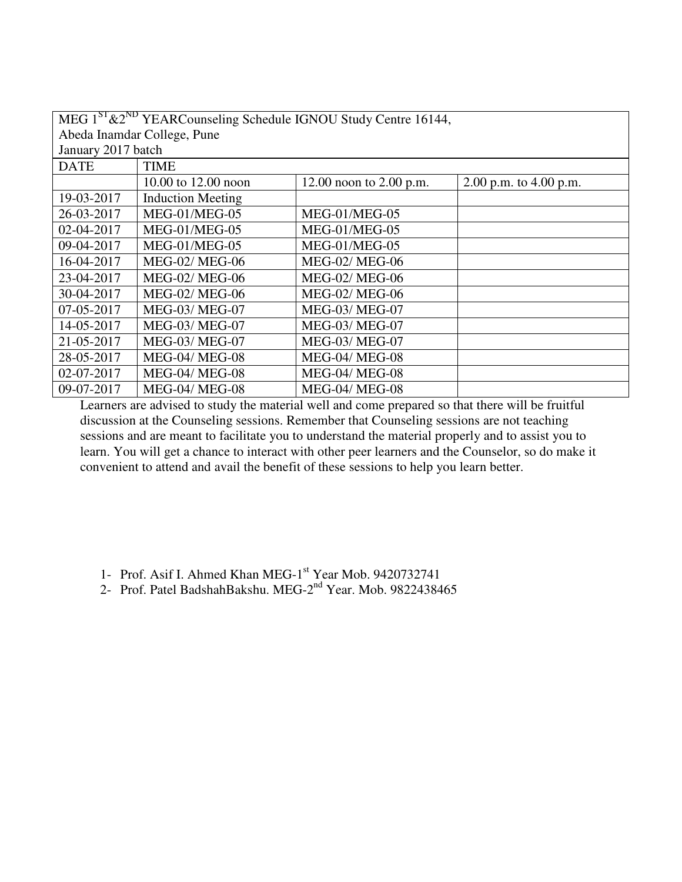|                             | MEG 1 <sup>ST</sup> &2 <sup>ND</sup> YEARCounseling Schedule IGNOU Study Centre 16144, |                           |                          |  |
|-----------------------------|----------------------------------------------------------------------------------------|---------------------------|--------------------------|--|
| Abeda Inamdar College, Pune |                                                                                        |                           |                          |  |
| January 2017 batch          |                                                                                        |                           |                          |  |
| <b>DATE</b>                 | <b>TIME</b>                                                                            |                           |                          |  |
|                             | 10.00 to 12.00 noon                                                                    | 12.00 noon to $2.00$ p.m. | 2.00 p.m. to $4.00$ p.m. |  |
| 19-03-2017                  | <b>Induction Meeting</b>                                                               |                           |                          |  |
| 26-03-2017                  | MEG-01/MEG-05                                                                          | MEG-01/MEG-05             |                          |  |
| 02-04-2017                  | MEG-01/MEG-05                                                                          | MEG-01/MEG-05             |                          |  |
| 09-04-2017                  | MEG-01/MEG-05                                                                          | MEG-01/MEG-05             |                          |  |
| 16-04-2017                  | <b>MEG-02/ MEG-06</b>                                                                  | <b>MEG-02/ MEG-06</b>     |                          |  |
| 23-04-2017                  | <b>MEG-02/ MEG-06</b>                                                                  | <b>MEG-02/ MEG-06</b>     |                          |  |
| 30-04-2017                  | <b>MEG-02/ MEG-06</b>                                                                  | <b>MEG-02/ MEG-06</b>     |                          |  |
| 07-05-2017                  | <b>MEG-03/ MEG-07</b>                                                                  | <b>MEG-03/ MEG-07</b>     |                          |  |
| 14-05-2017                  | <b>MEG-03/ MEG-07</b>                                                                  | <b>MEG-03/ MEG-07</b>     |                          |  |
| 21-05-2017                  | MEG-03/ MEG-07                                                                         | <b>MEG-03/ MEG-07</b>     |                          |  |
| 28-05-2017                  | <b>MEG-04/ MEG-08</b>                                                                  | <b>MEG-04/ MEG-08</b>     |                          |  |
| 02-07-2017                  | <b>MEG-04/ MEG-08</b>                                                                  | <b>MEG-04/ MEG-08</b>     |                          |  |
| 09-07-2017                  | <b>MEG-04/ MEG-08</b>                                                                  | <b>MEG-04/ MEG-08</b>     |                          |  |

- 1- Prof. Asif I. Ahmed Khan MEG-1<sup>st</sup> Year Mob. 9420732741
- 2- Prof. Patel BadshahBakshu. MEG-2<sup>nd</sup> Year. Mob. 9822438465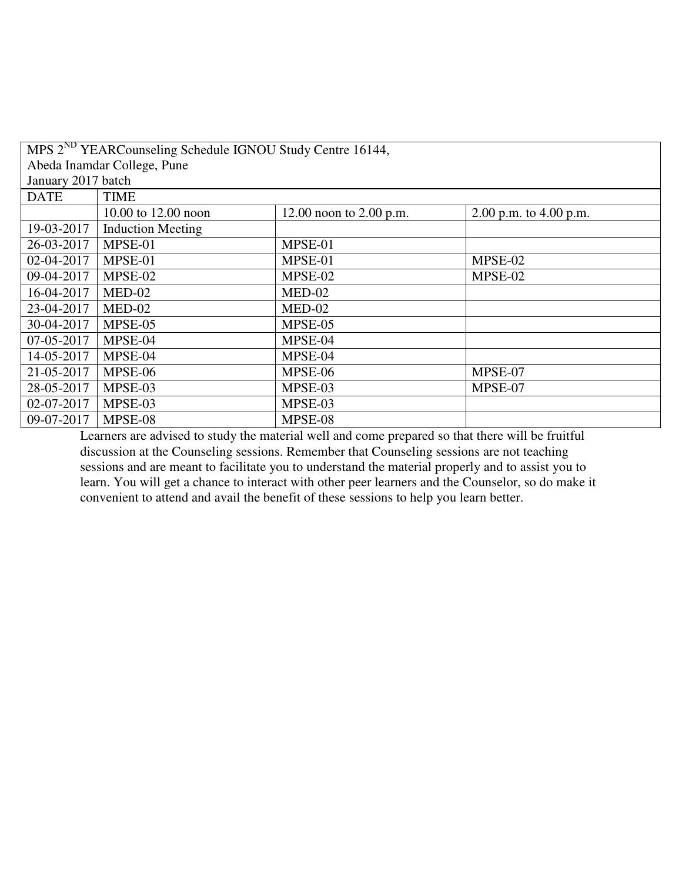| MPS 2 <sup>ND</sup> YEARCounseling Schedule IGNOU Study Centre 16144, |                             |                           |                          |  |  |
|-----------------------------------------------------------------------|-----------------------------|---------------------------|--------------------------|--|--|
|                                                                       | Abeda Inamdar College, Pune |                           |                          |  |  |
| January 2017 batch                                                    |                             |                           |                          |  |  |
| <b>DATE</b>                                                           | <b>TIME</b>                 |                           |                          |  |  |
|                                                                       | 10.00 to 12.00 noon         | 12.00 noon to $2.00$ p.m. | 2.00 p.m. to $4.00$ p.m. |  |  |
| 19-03-2017                                                            | <b>Induction Meeting</b>    |                           |                          |  |  |
| 26-03-2017                                                            | MPSE-01                     | MPSE-01                   |                          |  |  |
| 02-04-2017                                                            | MPSE-01                     | MPSE-01                   | MPSE-02                  |  |  |
| 09-04-2017                                                            | MPSE-02                     | MPSE-02                   | MPSE-02                  |  |  |
| 16-04-2017                                                            | $MED-02$                    | $MED-02$                  |                          |  |  |
| 23-04-2017                                                            | $MED-02$                    | $MED-02$                  |                          |  |  |
| 30-04-2017                                                            | MPSE-05                     | MPSE-05                   |                          |  |  |
| 07-05-2017                                                            | MPSE-04                     | MPSE-04                   |                          |  |  |
| 14-05-2017                                                            | MPSE-04                     | MPSE-04                   |                          |  |  |
| 21-05-2017                                                            | MPSE-06                     | MPSE-06                   | MPSE-07                  |  |  |
| 28-05-2017                                                            | MPSE-03                     | MPSE-03                   | MPSE-07                  |  |  |
| 02-07-2017                                                            | MPSE-03                     | MPSE-03                   |                          |  |  |
| 09-07-2017                                                            | MPSE-08                     | MPSE-08                   |                          |  |  |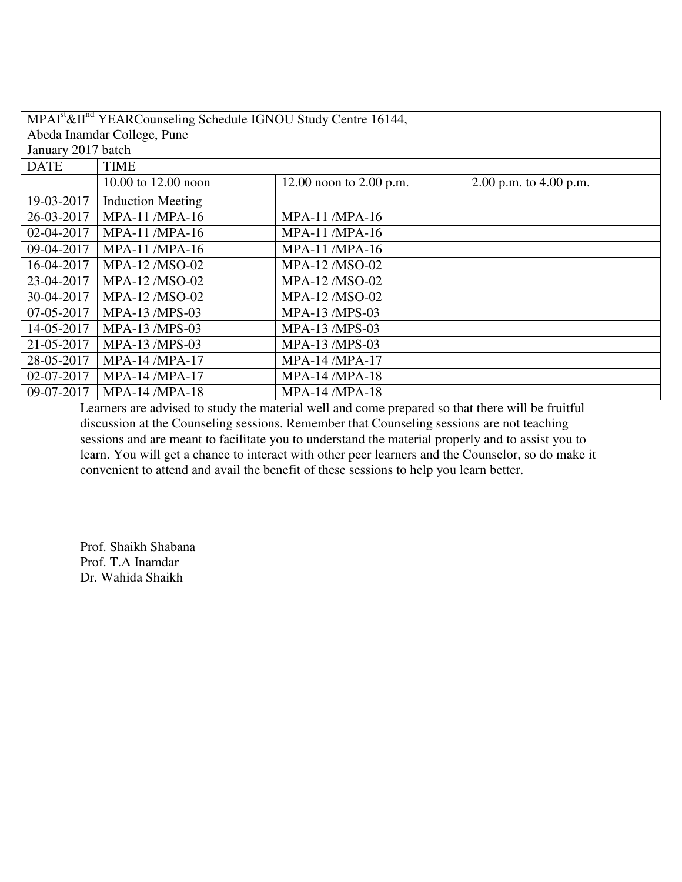| $MPAIst & IInd YEAR Counseling Schedule IGNOU Study Centre 16144,$ |                             |                           |                          |  |  |
|--------------------------------------------------------------------|-----------------------------|---------------------------|--------------------------|--|--|
|                                                                    | Abeda Inamdar College, Pune |                           |                          |  |  |
| January 2017 batch                                                 |                             |                           |                          |  |  |
| <b>DATE</b>                                                        | <b>TIME</b>                 |                           |                          |  |  |
|                                                                    | 10.00 to 12.00 noon         | 12.00 noon to $2.00$ p.m. | 2.00 p.m. to $4.00$ p.m. |  |  |
| 19-03-2017                                                         | <b>Induction Meeting</b>    |                           |                          |  |  |
| 26-03-2017                                                         | $MPA-11$ /MPA-16            | <b>MPA-11/MPA-16</b>      |                          |  |  |
| 02-04-2017                                                         | $MPA-11$ /MPA-16            | <b>MPA-11/MPA-16</b>      |                          |  |  |
| 09-04-2017                                                         | MPA-11 /MPA-16              | <b>MPA-11 /MPA-16</b>     |                          |  |  |
| 16-04-2017                                                         | MPA-12/MSO-02               | MPA-12/MSO-02             |                          |  |  |
| 23-04-2017                                                         | MPA-12/MSO-02               | MPA-12/MSO-02             |                          |  |  |
| 30-04-2017                                                         | MPA-12/MSO-02               | MPA-12/MSO-02             |                          |  |  |
| 07-05-2017                                                         | $MPA-13$ /MPS-03            | <b>MPA-13/MPS-03</b>      |                          |  |  |
| 14-05-2017                                                         | <b>MPA-13/MPS-03</b>        | MPA-13 /MPS-03            |                          |  |  |
| 21-05-2017                                                         | MPA-13 /MPS-03              | MPA-13 /MPS-03            |                          |  |  |
| 28-05-2017                                                         | MPA-14 /MPA-17              | MPA-14 /MPA-17            |                          |  |  |
| 02-07-2017                                                         | <b>MPA-14 /MPA-17</b>       | <b>MPA-14 /MPA-18</b>     |                          |  |  |
| 09-07-2017                                                         | <b>MPA-14 /MPA-18</b>       | MPA-14 /MPA-18            |                          |  |  |

Prof. Shaikh Shabana Prof. T.A Inamdar Dr. Wahida Shaikh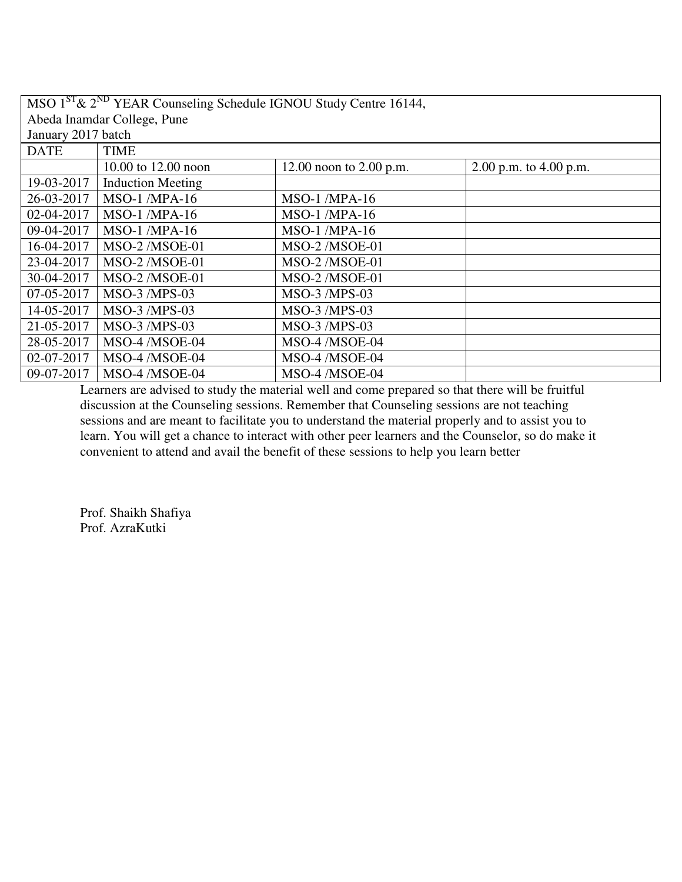| $\overline{\text{MSO} 1}^{\text{ST}}$ & $2^{\text{ND}}$ YEAR Counseling Schedule IGNOU Study Centre 16144, |                             |                           |                          |
|------------------------------------------------------------------------------------------------------------|-----------------------------|---------------------------|--------------------------|
|                                                                                                            | Abeda Inamdar College, Pune |                           |                          |
| January 2017 batch                                                                                         |                             |                           |                          |
| <b>DATE</b>                                                                                                | <b>TIME</b>                 |                           |                          |
|                                                                                                            | 10.00 to 12.00 noon         | 12.00 noon to $2.00$ p.m. | 2.00 p.m. to $4.00$ p.m. |
| 19-03-2017                                                                                                 | <b>Induction Meeting</b>    |                           |                          |
| 26-03-2017                                                                                                 | <b>MSO-1/MPA-16</b>         | <b>MSO-1/MPA-16</b>       |                          |
| 02-04-2017                                                                                                 | <b>MSO-1/MPA-16</b>         | $MSO-1$ /MPA-16           |                          |
| 09-04-2017                                                                                                 | <b>MSO-1/MPA-16</b>         | <b>MSO-1/MPA-16</b>       |                          |
| 16-04-2017                                                                                                 | MSO-2/MSOE-01               | MSO-2/MSOE-01             |                          |
| 23-04-2017                                                                                                 | MSO-2/MSOE-01               | MSO-2/MSOE-01             |                          |
| 30-04-2017                                                                                                 | MSO-2/MSOE-01               | MSO-2/MSOE-01             |                          |
| 07-05-2017                                                                                                 | MSO-3 /MPS-03               | MSO-3 /MPS-03             |                          |
| 14-05-2017                                                                                                 | MSO-3 /MPS-03               | <b>MSO-3/MPS-03</b>       |                          |
| 21-05-2017                                                                                                 | MSO-3 /MPS-03               | MSO-3 /MPS-03             |                          |
| 28-05-2017                                                                                                 | MSO-4 /MSOE-04              | MSO-4 /MSOE-04            |                          |
| 02-07-2017                                                                                                 | MSO-4 /MSOE-04              | MSO-4 /MSOE-04            |                          |
| 09-07-2017                                                                                                 | MSO-4 /MSOE-04              | MSO-4 /MSOE-04            |                          |

Prof. Shaikh Shafiya Prof. AzraKutki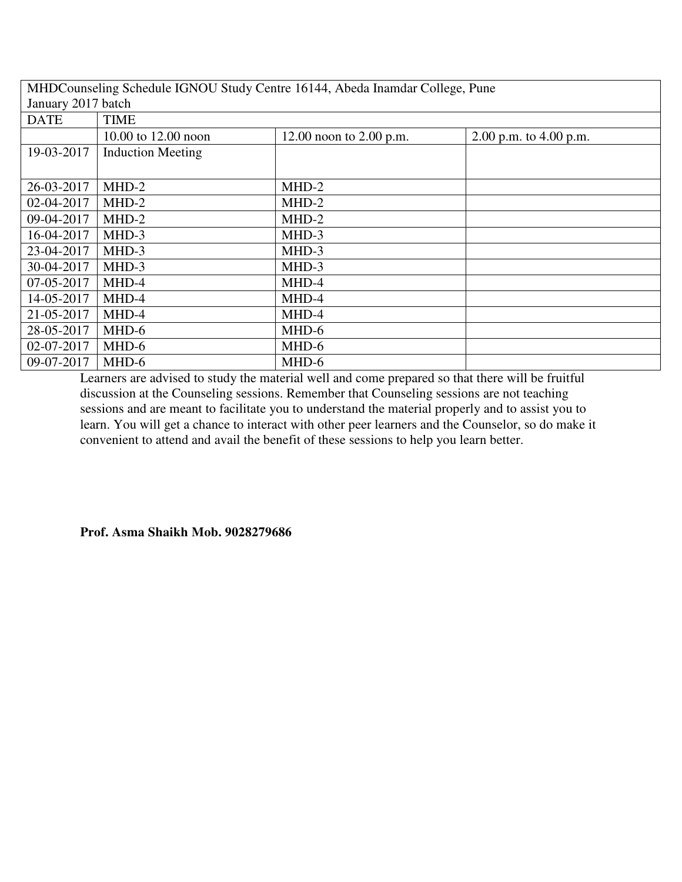| MHDCounseling Schedule IGNOU Study Centre 16144, Abeda Inamdar College, Pune |                          |                           |                          |  |
|------------------------------------------------------------------------------|--------------------------|---------------------------|--------------------------|--|
|                                                                              | January 2017 batch       |                           |                          |  |
| <b>DATE</b>                                                                  | <b>TIME</b>              |                           |                          |  |
|                                                                              | 10.00 to 12.00 noon      | 12.00 noon to $2.00$ p.m. | 2.00 p.m. to $4.00$ p.m. |  |
| 19-03-2017                                                                   | <b>Induction Meeting</b> |                           |                          |  |
|                                                                              |                          |                           |                          |  |
| 26-03-2017                                                                   | MHD-2                    | MHD-2                     |                          |  |
| 02-04-2017                                                                   | $MHD-2$                  | $MHD-2$                   |                          |  |
| 09-04-2017                                                                   | MHD-2                    | $MHD-2$                   |                          |  |
| 16-04-2017                                                                   | $MHD-3$                  | MHD-3                     |                          |  |
| 23-04-2017                                                                   | MHD-3                    | MHD-3                     |                          |  |
| 30-04-2017                                                                   | MHD-3                    | MHD-3                     |                          |  |
| 07-05-2017                                                                   | MHD-4                    | MHD-4                     |                          |  |
| 14-05-2017                                                                   | MHD-4                    | MHD-4                     |                          |  |
| 21-05-2017                                                                   | MHD-4                    | MHD-4                     |                          |  |
| 28-05-2017                                                                   | MHD-6                    | MHD-6                     |                          |  |
| 02-07-2017                                                                   | MHD-6                    | MHD-6                     |                          |  |
| 09-07-2017                                                                   | MHD-6                    | MHD-6                     |                          |  |

**Prof. Asma Shaikh Mob. 9028279686**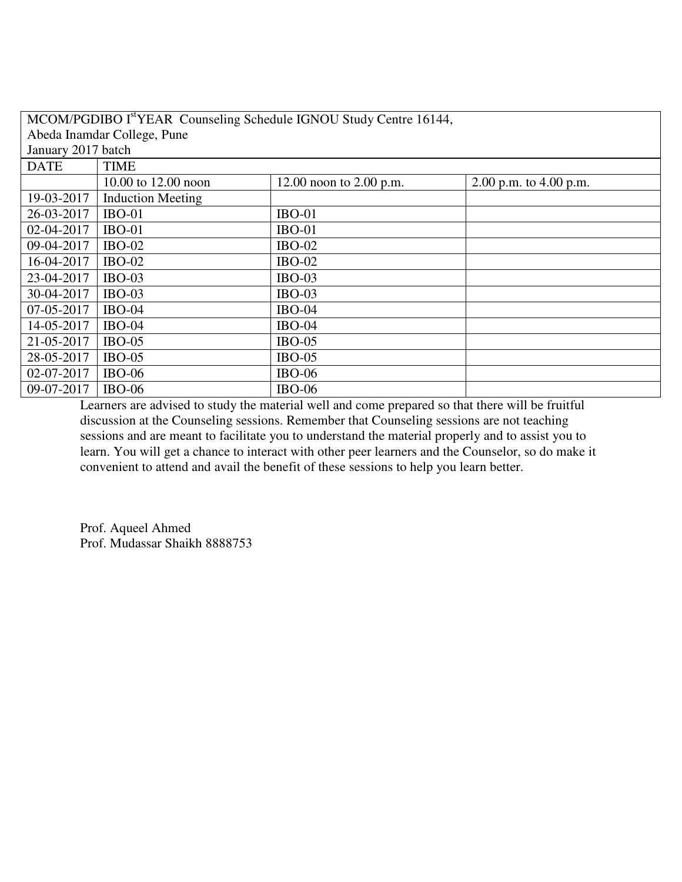| MCOM/PGDIBO I <sup>st</sup> YEAR Counseling Schedule IGNOU Study Centre 16144, |                          |                           |                          |
|--------------------------------------------------------------------------------|--------------------------|---------------------------|--------------------------|
| Abeda Inamdar College, Pune                                                    |                          |                           |                          |
| January 2017 batch                                                             |                          |                           |                          |
| <b>DATE</b>                                                                    | <b>TIME</b>              |                           |                          |
|                                                                                | 10.00 to 12.00 noon      | 12.00 noon to $2.00$ p.m. | 2.00 p.m. to $4.00$ p.m. |
| 19-03-2017                                                                     | <b>Induction Meeting</b> |                           |                          |
| 26-03-2017                                                                     | $IBO-01$                 | $IBO-01$                  |                          |
| 02-04-2017                                                                     | $IBO-01$                 | $IBO-01$                  |                          |
| 09-04-2017                                                                     | $IBO-02$                 | <b>IBO-02</b>             |                          |
| 16-04-2017                                                                     | $IBO-02$                 | <b>IBO-02</b>             |                          |
| 23-04-2017                                                                     | $IBO-03$                 | $IBO-03$                  |                          |
| 30-04-2017                                                                     | $IBO-03$                 | $IBO-03$                  |                          |
| 07-05-2017                                                                     | $IBO-04$                 | <b>IBO-04</b>             |                          |
| 14-05-2017                                                                     | <b>IBO-04</b>            | <b>IBO-04</b>             |                          |
| 21-05-2017                                                                     | $IBO-05$                 | $IBO-05$                  |                          |
| 28-05-2017                                                                     | $IBO-05$                 | $IBO-05$                  |                          |
| 02-07-2017                                                                     | <b>IBO-06</b>            | <b>IBO-06</b>             |                          |
| 09-07-2017                                                                     | $IBO-06$                 | <b>IBO-06</b>             |                          |

Prof. Aqueel Ahmed Prof. Mudassar Shaikh 8888753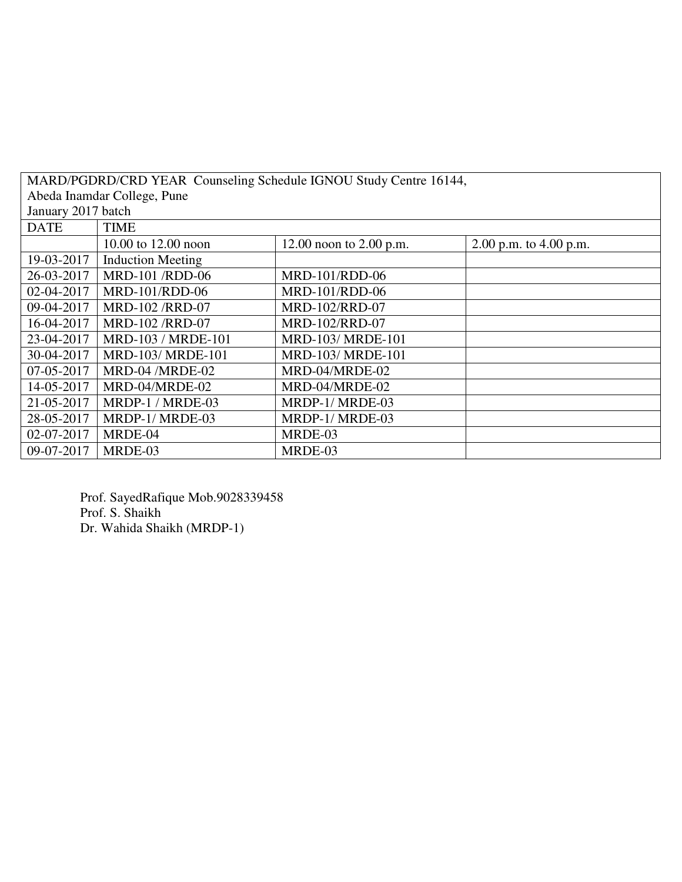| MARD/PGDRD/CRD YEAR Counseling Schedule IGNOU Study Centre 16144, |                          |                           |                          |
|-------------------------------------------------------------------|--------------------------|---------------------------|--------------------------|
| Abeda Inamdar College, Pune                                       |                          |                           |                          |
| January 2017 batch                                                |                          |                           |                          |
| <b>DATE</b>                                                       | <b>TIME</b>              |                           |                          |
|                                                                   | 10.00 to 12.00 noon      | 12.00 noon to $2.00$ p.m. | 2.00 p.m. to $4.00$ p.m. |
| 19-03-2017                                                        | <b>Induction Meeting</b> |                           |                          |
| 26-03-2017                                                        | MRD-101 /RDD-06          | MRD-101/RDD-06            |                          |
| 02-04-2017                                                        | MRD-101/RDD-06           | MRD-101/RDD-06            |                          |
| 09-04-2017                                                        | <b>MRD-102/RRD-07</b>    | MRD-102/RRD-07            |                          |
| 16-04-2017                                                        | MRD-102 /RRD-07          | MRD-102/RRD-07            |                          |
| 23-04-2017                                                        | MRD-103 / MRDE-101       | MRD-103/ MRDE-101         |                          |
| 30-04-2017                                                        | MRD-103/ MRDE-101        | MRD-103/ MRDE-101         |                          |
| 07-05-2017                                                        | MRD-04 /MRDE-02          | MRD-04/MRDE-02            |                          |
| 14-05-2017                                                        | MRD-04/MRDE-02           | MRD-04/MRDE-02            |                          |
| 21-05-2017                                                        | MRDP-1 / MRDE-03         | MRDP-1/MRDE-03            |                          |
| 28-05-2017                                                        | MRDP-1/ MRDE-03          | MRDP-1/MRDE-03            |                          |
| 02-07-2017                                                        | MRDE-04                  | MRDE-03                   |                          |
| 09-07-2017                                                        | MRDE-03                  | MRDE-03                   |                          |

Prof. SayedRafique Mob.9028339458 Prof. S. Shaikh Dr. Wahida Shaikh (MRDP-1)